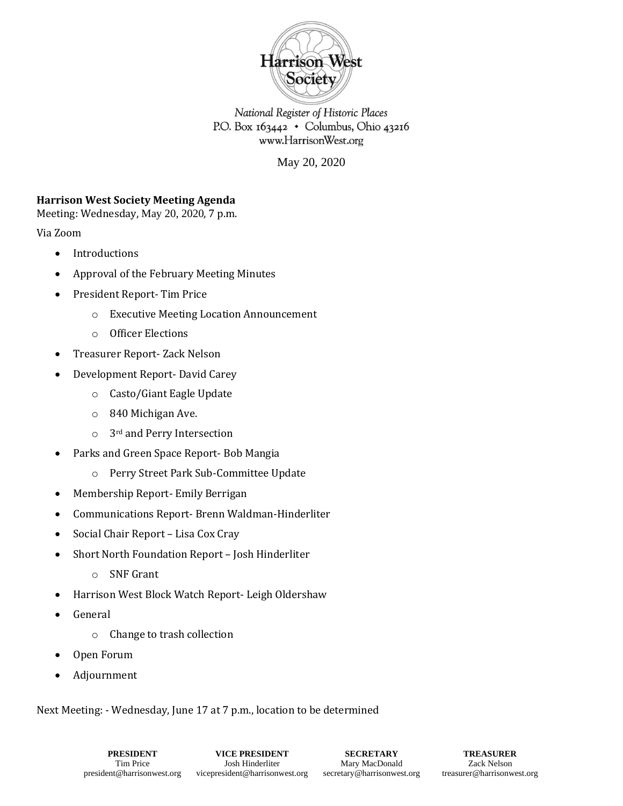

National Register of Historic Places P.O. Box 163442 • Columbus, Ohio 43216 www.HarrisonWest.org

May 20, 2020

# **Harrison West Society Meeting Agenda**

Meeting: Wednesday, May 20, 2020, 7 p.m.

Via Zoom

- Introductions
- Approval of the February Meeting Minutes
- President Report- Tim Price
	- o Executive Meeting Location Announcement
	- o Officer Elections
- Treasurer Report- Zack Nelson
- Development Report- David Carey
	- o Casto/Giant Eagle Update
	- o 840 Michigan Ave.
	- o 3rd and Perry Intersection
- Parks and Green Space Report- Bob Mangia
	- o Perry Street Park Sub-Committee Update
- Membership Report- Emily Berrigan
- Communications Report- Brenn Waldman-Hinderliter
- Social Chair Report Lisa Cox Cray
- Short North Foundation Report Josh Hinderliter
	- o SNF Grant
- Harrison West Block Watch Report- Leigh Oldershaw
- General
	- o Change to trash collection
- Open Forum
- Adjournment

Next Meeting: - Wednesday, June 17 at 7 p.m., location to be determined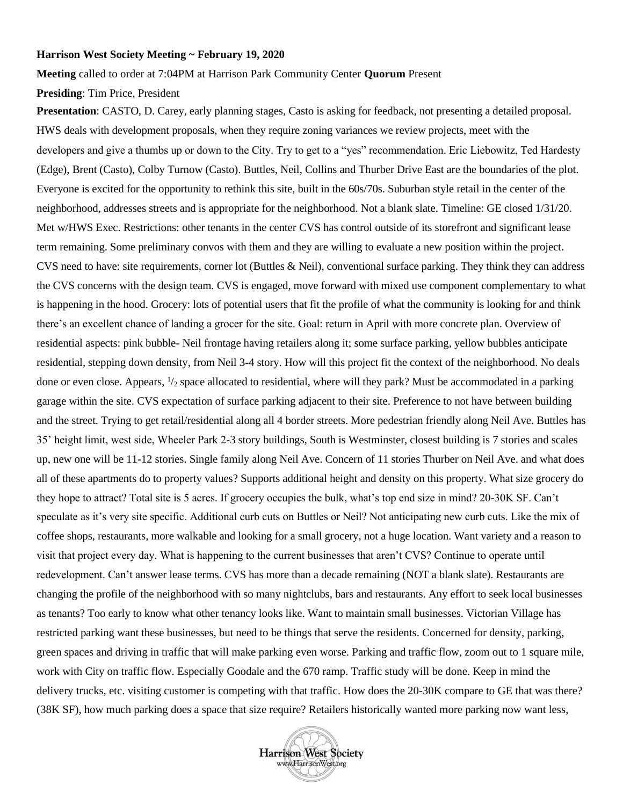#### **Harrison West Society Meeting ~ February 19, 2020**

**Meeting** called to order at 7:04PM at Harrison Park Community Center **Quorum** Present

### **Presiding**: Tim Price, President

**Presentation**: CASTO, D. Carey, early planning stages, Casto is asking for feedback, not presenting a detailed proposal. HWS deals with development proposals, when they require zoning variances we review projects, meet with the developers and give a thumbs up or down to the City. Try to get to a "yes" recommendation. Eric Liebowitz, Ted Hardesty (Edge), Brent (Casto), Colby Turnow (Casto). Buttles, Neil, Collins and Thurber Drive East are the boundaries of the plot. Everyone is excited for the opportunity to rethink this site, built in the 60s/70s. Suburban style retail in the center of the neighborhood, addresses streets and is appropriate for the neighborhood. Not a blank slate. Timeline: GE closed 1/31/20. Met w/HWS Exec. Restrictions: other tenants in the center CVS has control outside of its storefront and significant lease term remaining. Some preliminary convos with them and they are willing to evaluate a new position within the project. CVS need to have: site requirements, corner lot (Buttles & Neil), conventional surface parking. They think they can address the CVS concerns with the design team. CVS is engaged, move forward with mixed use component complementary to what is happening in the hood. Grocery: lots of potential users that fit the profile of what the community is looking for and think there's an excellent chance of landing a grocer for the site. Goal: return in April with more concrete plan. Overview of residential aspects: pink bubble- Neil frontage having retailers along it; some surface parking, yellow bubbles anticipate residential, stepping down density, from Neil 3-4 story. How will this project fit the context of the neighborhood. No deals done or even close. Appears,  $\frac{1}{2}$  space allocated to residential, where will they park? Must be accommodated in a parking garage within the site. CVS expectation of surface parking adjacent to their site. Preference to not have between building and the street. Trying to get retail/residential along all 4 border streets. More pedestrian friendly along Neil Ave. Buttles has 35' height limit, west side, Wheeler Park 2-3 story buildings, South is Westminster, closest building is 7 stories and scales up, new one will be 11-12 stories. Single family along Neil Ave. Concern of 11 stories Thurber on Neil Ave. and what does all of these apartments do to property values? Supports additional height and density on this property. What size grocery do they hope to attract? Total site is 5 acres. If grocery occupies the bulk, what's top end size in mind? 20-30K SF. Can't speculate as it's very site specific. Additional curb cuts on Buttles or Neil? Not anticipating new curb cuts. Like the mix of coffee shops, restaurants, more walkable and looking for a small grocery, not a huge location. Want variety and a reason to visit that project every day. What is happening to the current businesses that aren't CVS? Continue to operate until redevelopment. Can't answer lease terms. CVS has more than a decade remaining (NOT a blank slate). Restaurants are changing the profile of the neighborhood with so many nightclubs, bars and restaurants. Any effort to seek local businesses as tenants? Too early to know what other tenancy looks like. Want to maintain small businesses. Victorian Village has restricted parking want these businesses, but need to be things that serve the residents. Concerned for density, parking, green spaces and driving in traffic that will make parking even worse. Parking and traffic flow, zoom out to 1 square mile, work with City on traffic flow. Especially Goodale and the 670 ramp. Traffic study will be done. Keep in mind the delivery trucks, etc. visiting customer is competing with that traffic. How does the 20-30K compare to GE that was there? (38K SF), how much parking does a space that size require? Retailers historically wanted more parking now want less,